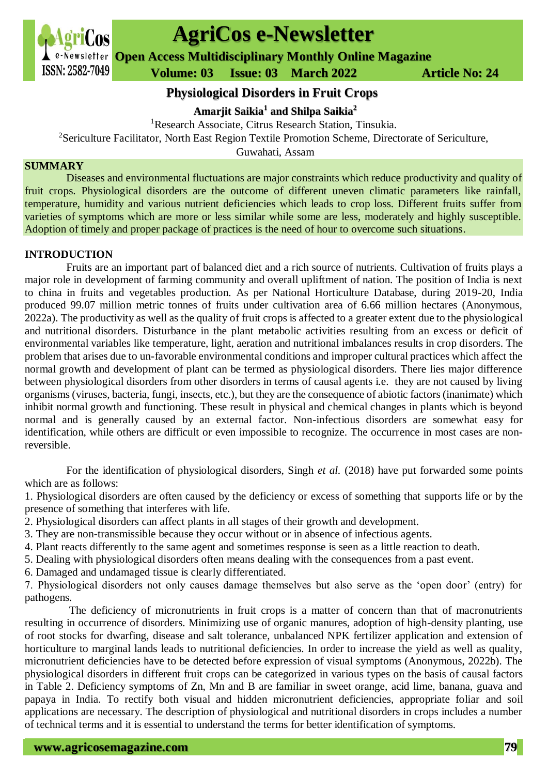

# **AgriCos e-Newsletter**

**Open Access Multidisciplinary Monthly Online Magazine**

 **ISSN: 2582-7049 Volume: 03 Issue: 03 March** 2022 **Article No: 24** 

**Physiological Disorders in Fruit Crops**

**Amarjit Saikia<sup>1</sup> and Shilpa Saikia<sup>2</sup>**

<sup>1</sup>Research Associate, Citrus Research Station, Tinsukia.

<sup>2</sup>Sericulture Facilitator, North East Region Textile Promotion Scheme, Directorate of Sericulture,

Guwahati, Assam

### **SUMMARY**

Diseases and environmental fluctuations are major constraints which reduce productivity and quality of fruit crops. Physiological disorders are the outcome of different uneven climatic parameters like rainfall, temperature, humidity and various nutrient deficiencies which leads to crop loss. Different fruits suffer from varieties of symptoms which are more or less similar while some are less, moderately and highly susceptible. Adoption of timely and proper package of practices is the need of hour to overcome such situations.

## **INTRODUCTION**

Fruits are an important part of balanced diet and a rich source of nutrients. Cultivation of fruits plays a major role in development of farming community and overall upliftment of nation. The position of India is next to china in fruits and vegetables production. As per National Horticulture Database, during 2019-20, India produced 99.07 million metric tonnes of fruits under cultivation area of 6.66 million hectares (Anonymous, 2022a). The productivity as well as the quality of fruit crops is affected to a greater extent due to the physiological and nutritional disorders. Disturbance in the plant metabolic activities resulting from an excess or deficit of environmental variables like temperature, light, aeration and nutritional imbalances results in crop disorders. The problem that arises due to un-favorable environmental conditions and improper cultural practices which affect the normal growth and development of plant can be termed as physiological disorders. There lies major difference between physiological disorders from other disorders in terms of causal agents i.e. they are not caused by living organisms (viruses, bacteria, fungi, insects, etc.), but they are the consequence of abiotic factors (inanimate) which inhibit normal growth and functioning. These result in physical and chemical changes in plants which is beyond normal and is generally caused by an external factor. Non-infectious disorders are somewhat easy for identification, while others are difficult or even impossible to recognize. The occurrence in most cases are nonreversible.

For the identification of physiological disorders, Singh *et al.* (2018) have put forwarded some points which are as follows:

1. Physiological disorders are often caused by the deficiency or excess of something that supports life or by the presence of something that interferes with life.

2. Physiological disorders can affect plants in all stages of their growth and development.

- 3. They are non-transmissible because they occur without or in absence of infectious agents.
- 4. Plant reacts differently to the same agent and sometimes response is seen as a little reaction to death.
- 5. Dealing with physiological disorders often means dealing with the consequences from a past event.
- 6. Damaged and undamaged tissue is clearly differentiated.

7. Physiological disorders not only causes damage themselves but also serve as the 'open door' (entry) for pathogens.

 The deficiency of micronutrients in fruit crops is a matter of concern than that of macronutrients resulting in occurrence of disorders. Minimizing use of organic manures, adoption of high-density planting, use of root stocks for dwarfing, disease and salt tolerance, unbalanced NPK fertilizer application and extension of horticulture to marginal lands leads to nutritional deficiencies. In order to increase the yield as well as quality, micronutrient deficiencies have to be detected before expression of visual symptoms (Anonymous, 2022b). The physiological disorders in different fruit crops can be categorized in various types on the basis of causal factors in Table 2. Deficiency symptoms of Zn, Mn and B are familiar in sweet orange, acid lime, banana, guava and papaya in India. To rectify both visual and hidden micronutrient deficiencies, appropriate foliar and soil applications are necessary. The description of physiological and nutritional disorders in crops includes a number of technical terms and it is essential to understand the terms for better identification of symptoms.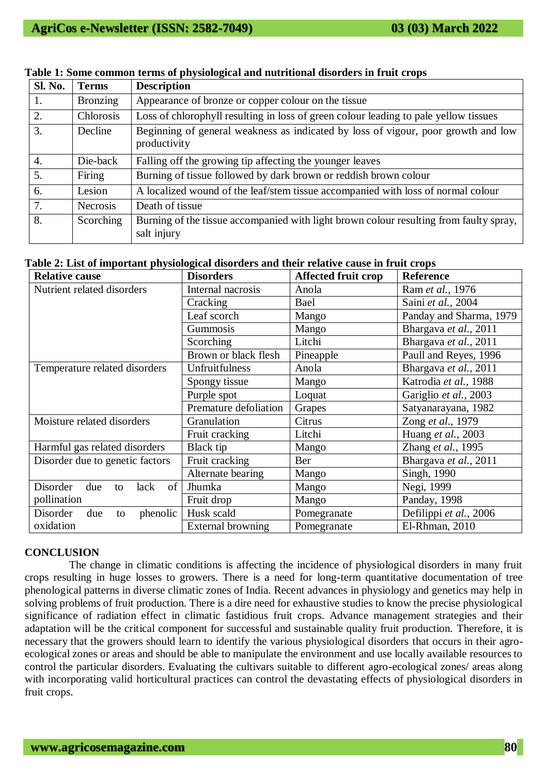| <b>Sl. No.</b> | <b>Terms</b>    | <b>Description</b>                                                                                    |  |  |
|----------------|-----------------|-------------------------------------------------------------------------------------------------------|--|--|
| 1.             | <b>Bronzing</b> | Appearance of bronze or copper colour on the tissue                                                   |  |  |
| 2.             | Chlorosis       | Loss of chlorophyll resulting in loss of green colour leading to pale yellow tissues                  |  |  |
| 3.             | Decline         | Beginning of general weakness as indicated by loss of vigour, poor growth and low<br>productivity     |  |  |
| 4.             | Die-back        | Falling off the growing tip affecting the younger leaves                                              |  |  |
| 5.             | Firing          | Burning of tissue followed by dark brown or reddish brown colour                                      |  |  |
| 6.             | Lesion          | A localized wound of the leaf/stem tissue accompanied with loss of normal colour                      |  |  |
| 7.             | <b>Necrosis</b> | Death of tissue                                                                                       |  |  |
| 8.             | Scorching       | Burning of the tissue accompanied with light brown colour resulting from faulty spray,<br>salt injury |  |  |

## **Table 1: Some common terms of physiological and nutritional disorders in fruit crops**

| <b>Relative cause</b>               | <b>Disorders</b>         | Affected fruit crop | <b>Reference</b>        |
|-------------------------------------|--------------------------|---------------------|-------------------------|
| Nutrient related disorders          | Internal nacrosis        | Anola               | Ram et al., 1976        |
|                                     | Cracking                 | Bael                | Saini et al., 2004      |
|                                     | Leaf scorch              | Mango               | Panday and Sharma, 1979 |
|                                     | Gummosis                 | Mango               | Bhargava et al., 2011   |
|                                     | Scorching                | Litchi              | Bhargava et al., 2011   |
|                                     | Brown or black flesh     | Pineapple           | Paull and Reyes, 1996   |
| Temperature related disorders       | Unfruitfulness           | Anola               | Bhargava et al., 2011   |
|                                     | Spongy tissue            | Mango               | Katrodia et al., 1988   |
|                                     | Purple spot              | Loquat              | Gariglio et al., 2003   |
|                                     | Premature defoliation    | Grapes              | Satyanarayana, 1982     |
| Moisture related disorders          | Granulation              | Citrus              | Zong et al., 1979       |
|                                     | Fruit cracking           | Litchi              | Huang et al., 2003      |
| Harmful gas related disorders       | Black tip                | Mango               | Zhang et al., 1995      |
| Disorder due to genetic factors     | Fruit cracking           | Ber                 | Bhargava et al., 2011   |
|                                     | Alternate bearing        | Mango               | Singh, 1990             |
| of<br>Disorder<br>due<br>lack<br>to | Jhumka                   | Mango               | Negi, 1999              |
| pollination                         | Fruit drop               | Mango               | Panday, 1998            |
| Disorder<br>phenolic<br>due<br>to   | Husk scald               | Pomegranate         | Defilippi et al., 2006  |
| oxidation                           | <b>External browning</b> | Pomegranate         | El-Rhman, 2010          |

#### **CONCLUSION**

 The change in climatic conditions is affecting the incidence of physiological disorders in many fruit crops resulting in huge losses to growers. There is a need for long-term quantitative documentation of tree phenological patterns in diverse climatic zones of India. Recent advances in physiology and genetics may help in solving problems of fruit production. There is a dire need for exhaustive studies to know the precise physiological significance of radiation effect in climatic fastidious fruit crops. Advance management strategies and their adaptation will be the critical component for successful and sustainable quality fruit production. Therefore, it is necessary that the growers should learn to identify the various physiological disorders that occurs in their agroecological zones or areas and should be able to manipulate the environment and use locally available resources to control the particular disorders. Evaluating the cultivars suitable to different agro-ecological zones/ areas along with incorporating valid horticultural practices can control the devastating effects of physiological disorders in fruit crops.